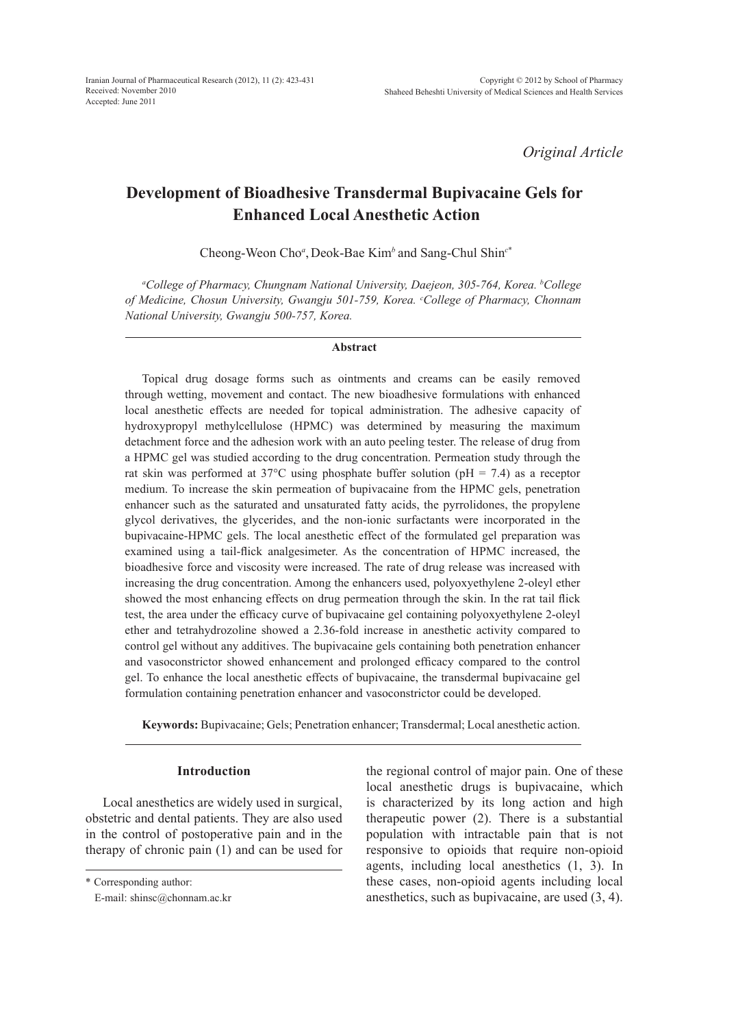*Original Article*

# **Development of Bioadhesive Transdermal Bupivacaine Gels for Enhanced Local Anesthetic Action**

Cheong-Weon Cho*<sup>a</sup>* , Deok-Bae Kim*<sup>b</sup>*and Sang-Chul Shin*<sup>c</sup>*\*

*a College of Pharmacy, Chungnam National University, Daejeon, 305-764, Korea. b College of Medicine, Chosun University, Gwangju 501-759, Korea. c College of Pharmacy, Chonnam National University, Gwangju 500-757, Korea.*

#### **Abstract**

Topical drug dosage forms such as ointments and creams can be easily removed through wetting, movement and contact. The new bioadhesive formulations with enhanced local anesthetic effects are needed for topical administration. The adhesive capacity of hydroxypropyl methylcellulose (HPMC) was determined by measuring the maximum detachment force and the adhesion work with an auto peeling tester. The release of drug from a HPMC gel was studied according to the drug concentration. Permeation study through the rat skin was performed at 37 $\degree$ C using phosphate buffer solution (pH = 7.4) as a receptor medium. To increase the skin permeation of bupivacaine from the HPMC gels, penetration enhancer such as the saturated and unsaturated fatty acids, the pyrrolidones, the propylene glycol derivatives, the glycerides, and the non-ionic surfactants were incorporated in the bupivacaine-HPMC gels. The local anesthetic effect of the formulated gel preparation was examined using a tail-flick analgesimeter. As the concentration of HPMC increased, the bioadhesive force and viscosity were increased. The rate of drug release was increased with increasing the drug concentration. Among the enhancers used, polyoxyethylene 2-oleyl ether showed the most enhancing effects on drug permeation through the skin. In the rat tail flick test, the area under the efficacy curve of bupivacaine gel containing polyoxyethylene 2-oleyl ether and tetrahydrozoline showed a 2.36-fold increase in anesthetic activity compared to control gel without any additives. The bupivacaine gels containing both penetration enhancer and vasoconstrictor showed enhancement and prolonged efficacy compared to the control gel. To enhance the local anesthetic effects of bupivacaine, the transdermal bupivacaine gel formulation containing penetration enhancer and vasoconstrictor could be developed.

**Keywords:** Bupivacaine; Gels; Penetration enhancer; Transdermal; Local anesthetic action.

## **Introduction**

Local anesthetics are widely used in surgical, obstetric and dental patients. They are also used in the control of postoperative pain and in the therapy of chronic pain (1) and can be used for

\* Corresponding author:

E-mail: shinsc@chonnam.ac.kr

the regional control of major pain. One of these local anesthetic drugs is bupivacaine, which is characterized by its long action and high therapeutic power (2). There is a substantial population with intractable pain that is not responsive to opioids that require non-opioid agents, including local anesthetics (1, 3). In these cases, non-opioid agents including local anesthetics, such as bupivacaine, are used (3, 4).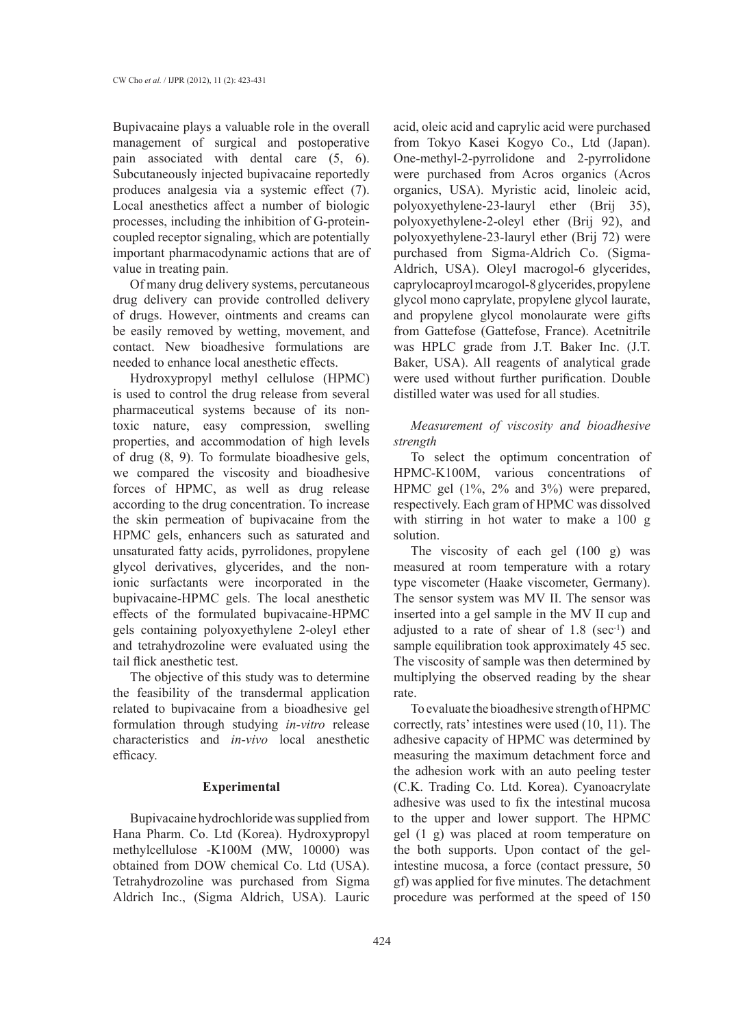Bupivacaine plays a valuable role in the overall management of surgical and postoperative pain associated with dental care (5, 6). Subcutaneously injected bupivacaine reportedly produces analgesia via a systemic effect (7). Local anesthetics affect a number of biologic processes, including the inhibition of G-proteincoupled receptor signaling, which are potentially important pharmacodynamic actions that are of value in treating pain.

Of many drug delivery systems, percutaneous drug delivery can provide controlled delivery of drugs. However, ointments and creams can be easily removed by wetting, movement, and contact. New bioadhesive formulations are needed to enhance local anesthetic effects.

Hydroxypropyl methyl cellulose (HPMC) is used to control the drug release from several pharmaceutical systems because of its nontoxic nature, easy compression, swelling properties, and accommodation of high levels of drug (8, 9). To formulate bioadhesive gels, we compared the viscosity and bioadhesive forces of HPMC, as well as drug release according to the drug concentration. To increase the skin permeation of bupivacaine from the HPMC gels, enhancers such as saturated and unsaturated fatty acids, pyrrolidones, propylene glycol derivatives, glycerides, and the nonionic surfactants were incorporated in the bupivacaine-HPMC gels. The local anesthetic effects of the formulated bupivacaine-HPMC gels containing polyoxyethylene 2-oleyl ether and tetrahydrozoline were evaluated using the tail flick anesthetic test.

The objective of this study was to determine the feasibility of the transdermal application related to bupivacaine from a bioadhesive gel formulation through studying *in-vitro* release characteristics and *in-vivo* local anesthetic efficacy.

#### **Experimental**

Bupivacaine hydrochloride was supplied from Hana Pharm. Co. Ltd (Korea). Hydroxypropyl methylcellulose -K100M (MW, 10000) was obtained from DOW chemical Co. Ltd (USA). Tetrahydrozoline was purchased from Sigma Aldrich Inc., (Sigma Aldrich, USA). Lauric acid, oleic acid and caprylic acid were purchased from Tokyo Kasei Kogyo Co., Ltd (Japan). One-methyl-2-pyrrolidone and 2-pyrrolidone were purchased from Acros organics (Acros organics, USA). Myristic acid, linoleic acid, polyoxyethylene-23-lauryl ether (Brij 35), polyoxyethylene-2-oleyl ether (Brij 92), and polyoxyethylene-23-lauryl ether (Brij 72) were purchased from Sigma-Aldrich Co. (Sigma-Aldrich, USA). Oleyl macrogol-6 glycerides, caprylocaproyl mcarogol-8 glycerides, propylene glycol mono caprylate, propylene glycol laurate, and propylene glycol monolaurate were gifts from Gattefose (Gattefose, France). Acetnitrile was HPLC grade from J.T. Baker Inc. (J.T. Baker, USA). All reagents of analytical grade were used without further purification. Double distilled water was used for all studies.

# *Measurement of viscosity and bioadhesive strength*

To select the optimum concentration of HPMC-K100M, various concentrations of HPMC gel (1%, 2% and 3%) were prepared, respectively. Each gram of HPMC was dissolved with stirring in hot water to make a 100 g solution.

The viscosity of each gel (100 g) was measured at room temperature with a rotary type viscometer (Haake viscometer, Germany). The sensor system was MV II. The sensor was inserted into a gel sample in the MV II cup and adjusted to a rate of shear of  $1.8$  (sec<sup>-1</sup>) and sample equilibration took approximately 45 sec. The viscosity of sample was then determined by multiplying the observed reading by the shear rate.

To evaluate the bioadhesive strength of HPMC correctly, rats' intestines were used (10, 11). The adhesive capacity of HPMC was determined by measuring the maximum detachment force and the adhesion work with an auto peeling tester (C.K. Trading Co. Ltd. Korea). Cyanoacrylate adhesive was used to fix the intestinal mucosa to the upper and lower support. The HPMC gel (1 g) was placed at room temperature on the both supports. Upon contact of the gelintestine mucosa, a force (contact pressure, 50 gf) was applied for five minutes. The detachment procedure was performed at the speed of 150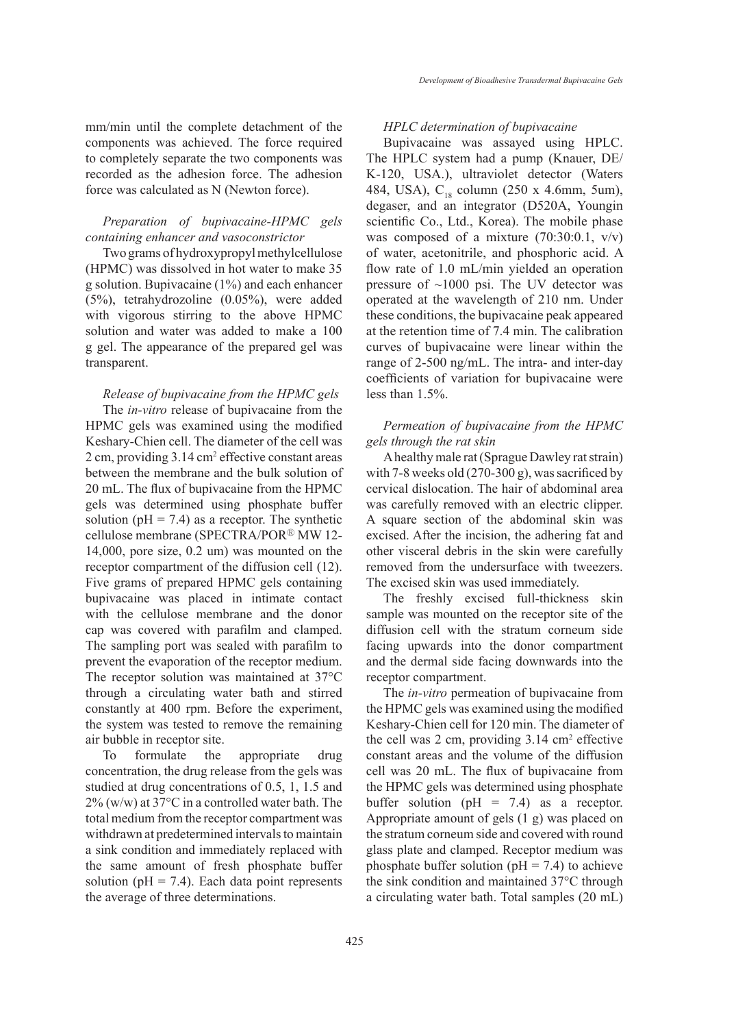mm/min until the complete detachment of the components was achieved. The force required to completely separate the two components was recorded as the adhesion force. The adhesion force was calculated as N (Newton force).

## *Preparation of bupivacaine-HPMC gels containing enhancer and vasoconstrictor*

Two grams of hydroxypropyl methylcellulose (HPMC) was dissolved in hot water to make 35 g solution. Bupivacaine (1%) and each enhancer (5%), tetrahydrozoline (0.05%), were added with vigorous stirring to the above HPMC solution and water was added to make a 100 g gel. The appearance of the prepared gel was transparent.

### *Release of bupivacaine from the HPMC gels*

The *in-vitro* release of bupivacaine from the HPMC gels was examined using the modified Keshary-Chien cell. The diameter of the cell was 2 cm, providing 3.14 cm<sup>2</sup> effective constant areas between the membrane and the bulk solution of 20 mL. The flux of bupivacaine from the HPMC gels was determined using phosphate buffer solution ( $pH = 7.4$ ) as a receptor. The synthetic cellulose membrane (SPECTRA/POR<sup>®</sup> MW 12-14,000, pore size, 0.2 um) was mounted on the receptor compartment of the diffusion cell (12). Five grams of prepared HPMC gels containing bupivacaine was placed in intimate contact with the cellulose membrane and the donor cap was covered with parafilm and clamped. The sampling port was sealed with parafilm to prevent the evaporation of the receptor medium. The receptor solution was maintained at 37°C through a circulating water bath and stirred constantly at 400 rpm. Before the experiment, the system was tested to remove the remaining air bubble in receptor site.

To formulate the appropriate drug concentration, the drug release from the gels was studied at drug concentrations of 0.5, 1, 1.5 and 2% (w/w) at 37°C in a controlled water bath. The total medium from the receptor compartment was withdrawn at predetermined intervals to maintain a sink condition and immediately replaced with the same amount of fresh phosphate buffer solution ( $pH = 7.4$ ). Each data point represents the average of three determinations.

## *HPLC determination of bupivacaine*

Bupivacaine was assayed using HPLC. The HPLC system had a pump (Knauer, DE/ K-120, USA.), ultraviolet detector (Waters 484, USA),  $C_{18}$  column (250 x 4.6mm, 5um), degaser, and an integrator (D520A, Youngin scientific Co., Ltd., Korea). The mobile phase was composed of a mixture (70:30:0.1, v/v) of water, acetonitrile, and phosphoric acid. A flow rate of 1.0 mL/min yielded an operation pressure of  $\sim$ 1000 psi. The UV detector was operated at the wavelength of 210 nm. Under these conditions, the bupivacaine peak appeared at the retention time of 7.4 min. The calibration curves of bupivacaine were linear within the range of 2-500 ng/mL. The intra- and inter-day coefficients of variation for bupivacaine were less than 1.5%.

# *Permeation of bupivacaine from the HPMC gels through the rat skin*

A healthy male rat (Sprague Dawley rat strain) with 7-8 weeks old (270-300 g), was sacrificed by cervical dislocation. The hair of abdominal area was carefully removed with an electric clipper. A square section of the abdominal skin was excised. After the incision, the adhering fat and other visceral debris in the skin were carefully removed from the undersurface with tweezers. The excised skin was used immediately.

The freshly excised full-thickness skin sample was mounted on the receptor site of the diffusion cell with the stratum corneum side facing upwards into the donor compartment and the dermal side facing downwards into the receptor compartment.

The *in-vitro* permeation of bupivacaine from the HPMC gels was examined using the modified Keshary-Chien cell for 120 min. The diameter of the cell was  $2 \text{ cm}$ , providing  $3.14 \text{ cm}^2$  effective constant areas and the volume of the diffusion cell was 20 mL. The flux of bupivacaine from the HPMC gels was determined using phosphate buffer solution ( $pH = 7.4$ ) as a receptor. Appropriate amount of gels (1 g) was placed on the stratum corneum side and covered with round glass plate and clamped. Receptor medium was phosphate buffer solution ( $pH = 7.4$ ) to achieve the sink condition and maintained 37°C through a circulating water bath. Total samples (20 mL)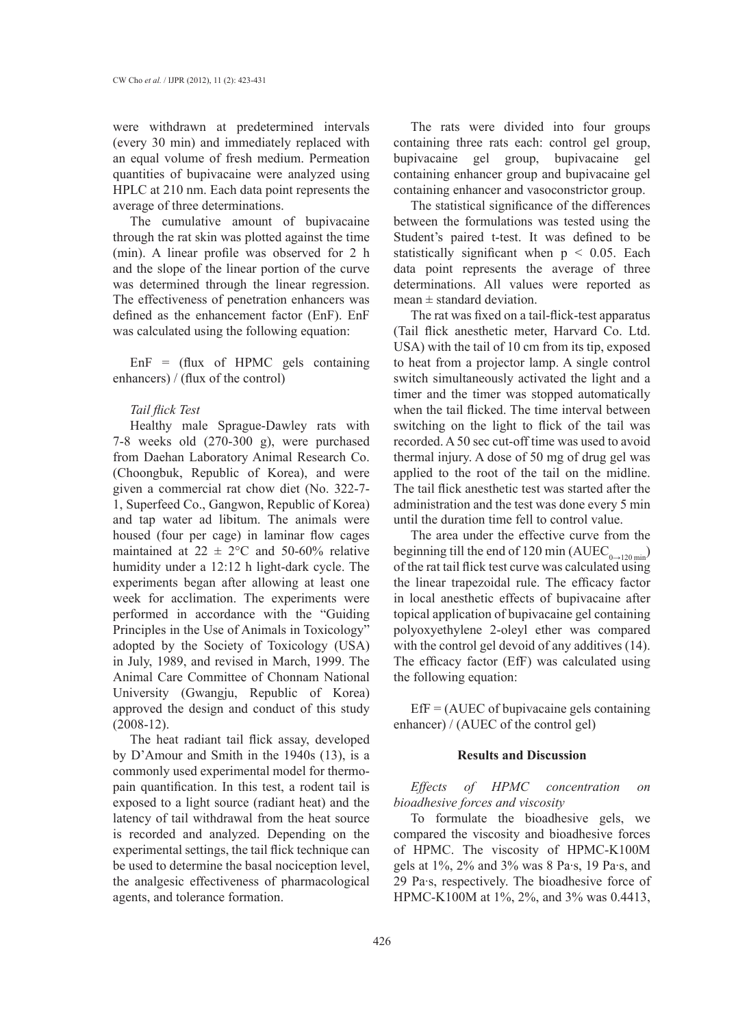were withdrawn at predetermined intervals (every 30 min) and immediately replaced with an equal volume of fresh medium. Permeation quantities of bupivacaine were analyzed using HPLC at 210 nm. Each data point represents the average of three determinations.

The cumulative amount of bupivacaine through the rat skin was plotted against the time (min). A linear profile was observed for 2 h and the slope of the linear portion of the curve was determined through the linear regression. The effectiveness of penetration enhancers was defined as the enhancement factor (EnF). EnF was calculated using the following equation:

 $EnF = (flux of HPMC)$  gels containing enhancers) / (flux of the control)

#### *Tail flick Test*

Healthy male Sprague-Dawley rats with 7-8 weeks old (270-300 g), were purchased from Daehan Laboratory Animal Research Co. (Choongbuk, Republic of Korea), and were given a commercial rat chow diet (No. 322-7- 1, Superfeed Co., Gangwon, Republic of Korea) and tap water ad libitum. The animals were housed (four per cage) in laminar flow cages maintained at  $22 \pm 2$ °C and 50-60% relative humidity under a 12:12 h light-dark cycle. The experiments began after allowing at least one week for acclimation. The experiments were performed in accordance with the "Guiding Principles in the Use of Animals in Toxicology" adopted by the Society of Toxicology (USA) in July, 1989, and revised in March, 1999. The Animal Care Committee of Chonnam National University (Gwangju, Republic of Korea) approved the design and conduct of this study (2008-12).

The heat radiant tail flick assay, developed by D'Amour and Smith in the 1940s (13), is a commonly used experimental model for thermopain quantification. In this test, a rodent tail is exposed to a light source (radiant heat) and the latency of tail withdrawal from the heat source is recorded and analyzed. Depending on the experimental settings, the tail flick technique can be used to determine the basal nociception level, the analgesic effectiveness of pharmacological agents, and tolerance formation.

The rats were divided into four groups containing three rats each: control gel group, bupivacaine gel group, bupivacaine gel containing enhancer group and bupivacaine gel containing enhancer and vasoconstrictor group.

The statistical significance of the differences between the formulations was tested using the Student's paired t-test. It was defined to be statistically significant when  $p \leq 0.05$ . Each data point represents the average of three determinations. All values were reported as  $mean \pm standard deviation$ .

The rat was fixed on a tail-flick-test apparatus (Tail flick anesthetic meter, Harvard Co. Ltd. USA) with the tail of 10 cm from its tip, exposed to heat from a projector lamp. A single control switch simultaneously activated the light and a timer and the timer was stopped automatically when the tail flicked. The time interval between switching on the light to flick of the tail was recorded. A 50 sec cut-off time was used to avoid thermal injury. A dose of 50 mg of drug gel was applied to the root of the tail on the midline. The tail flick anesthetic test was started after the administration and the test was done every 5 min until the duration time fell to control value.

The area under the effective curve from the beginning till the end of 120 min (AUEC<sub>0→120 min</sub>) of the rat tail flick test curve was calculated using the linear trapezoidal rule. The efficacy factor in local anesthetic effects of bupivacaine after topical application of bupivacaine gel containing polyoxyethylene 2-oleyl ether was compared with the control gel devoid of any additives (14). The efficacy factor (EfF) was calculated using the following equation:

 $Eff = (AUEC of bupivacaine gels containing$ enhancer) / (AUEC of the control gel)

#### **Results and Discussion**

*Effects of HPMC concentration on bioadhesive forces and viscosity*

To formulate the bioadhesive gels, we compared the viscosity and bioadhesive forces of HPMC. The viscosity of HPMC-K100M gels at 1%, 2% and 3% was 8 Pa·s, 19 Pa·s, and 29 Pa·s, respectively. The bioadhesive force of HPMC-K100M at 1%, 2%, and 3% was 0.4413,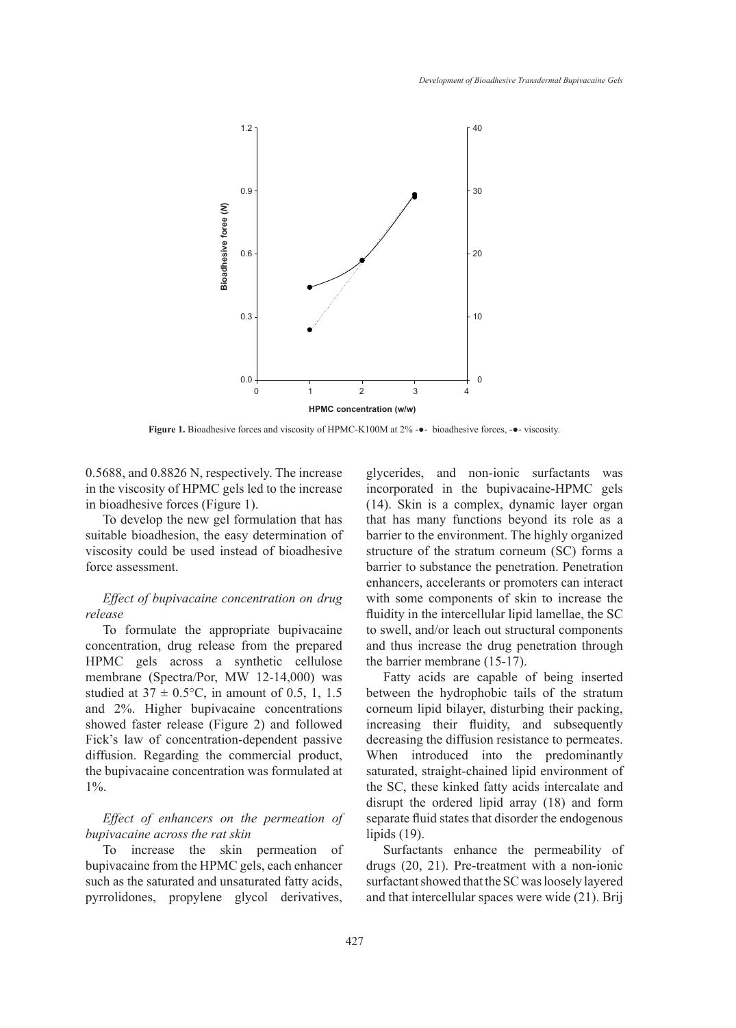

**Figure 1.** Bioadhesive forces and viscosity of HPMC-K100M at 2% -●- bioadhesive forces, -●- viscosity.

0.5688, and 0.8826 N, respectively. The increase in the viscosity of HPMC gels led to the increase in bioadhesive forces (Figure 1).

To develop the new gel formulation that has suitable bioadhesion, the easy determination of viscosity could be used instead of bioadhesive force assessment.

## *Effect of bupivacaine concentration on drug release*

To formulate the appropriate bupivacaine concentration, drug release from the prepared HPMC gels across a synthetic cellulose membrane (Spectra/Por, MW 12-14,000) was studied at  $37 \pm 0.5$ °C, in amount of 0.5, 1, 1.5 and 2%. Higher bupivacaine concentrations showed faster release (Figure 2) and followed Fick's law of concentration-dependent passive diffusion. Regarding the commercial product, the bupivacaine concentration was formulated at 1%.

*Effect of enhancers on the permeation of bupivacaine across the rat skin*

To increase the skin permeation of bupivacaine from the HPMC gels, each enhancer such as the saturated and unsaturated fatty acids, pyrrolidones, propylene glycol derivatives, glycerides, and non-ionic surfactants was incorporated in the bupivacaine-HPMC gels (14). Skin is a complex, dynamic layer organ that has many functions beyond its role as a barrier to the environment. The highly organized structure of the stratum corneum (SC) forms a barrier to substance the penetration. Penetration enhancers, accelerants or promoters can interact with some components of skin to increase the fluidity in the intercellular lipid lamellae, the SC to swell, and/or leach out structural components and thus increase the drug penetration through the barrier membrane (15-17).

Fatty acids are capable of being inserted between the hydrophobic tails of the stratum corneum lipid bilayer, disturbing their packing, increasing their fluidity, and subsequently decreasing the diffusion resistance to permeates. When introduced into the predominantly saturated, straight-chained lipid environment of the SC, these kinked fatty acids intercalate and disrupt the ordered lipid array (18) and form separate fluid states that disorder the endogenous lipids (19).

Surfactants enhance the permeability of drugs (20, 21). Pre-treatment with a non-ionic surfactant showed that the SC was loosely layered and that intercellular spaces were wide (21). Brij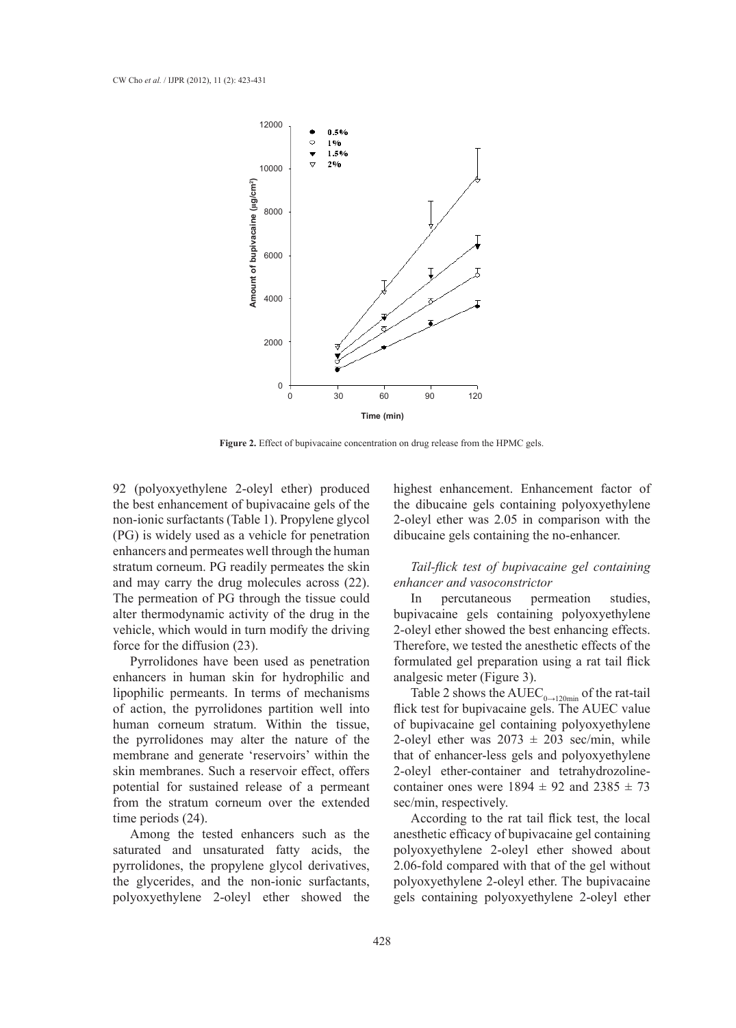

**Figure 2.** Effect of bupivacaine concentration on drug release from the HPMC gels.

92 (polyoxyethylene 2-oleyl ether) produced the best enhancement of bupivacaine gels of the non-ionic surfactants (Table 1). Propylene glycol (PG) is widely used as a vehicle for penetration enhancers and permeates well through the human stratum corneum. PG readily permeates the skin and may carry the drug molecules across (22). The permeation of PG through the tissue could alter thermodynamic activity of the drug in the vehicle, which would in turn modify the driving force for the diffusion (23).

Pyrrolidones have been used as penetration enhancers in human skin for hydrophilic and lipophilic permeants. In terms of mechanisms of action, the pyrrolidones partition well into human corneum stratum. Within the tissue, the pyrrolidones may alter the nature of the membrane and generate 'reservoirs' within the skin membranes. Such a reservoir effect, offers potential for sustained release of a permeant from the stratum corneum over the extended time periods (24).

Among the tested enhancers such as the saturated and unsaturated fatty acids, the pyrrolidones, the propylene glycol derivatives, the glycerides, and the non-ionic surfactants, polyoxyethylene 2-oleyl ether showed the

highest enhancement. Enhancement factor of the dibucaine gels containing polyoxyethylene 2-oleyl ether was 2.05 in comparison with the dibucaine gels containing the no-enhancer.

*Tail-flick test of bupivacaine gel containing enhancer and vasoconstrictor*

In percutaneous permeation studies, bupivacaine gels containing polyoxyethylene 2-oleyl ether showed the best enhancing effects. Therefore, we tested the anesthetic effects of the formulated gel preparation using a rat tail flick analgesic meter (Figure 3).

Table 2 shows the  $\text{AUEC}_{0\rightarrow120\text{min}}$  of the rat-tail flick test for bupivacaine gels. The AUEC value of bupivacaine gel containing polyoxyethylene 2-oleyl ether was  $2073 \pm 203$  sec/min, while that of enhancer-less gels and polyoxyethylene 2-oleyl ether-container and tetrahydrozolinecontainer ones were  $1894 \pm 92$  and  $2385 \pm 73$ sec/min, respectively.

According to the rat tail flick test, the local anesthetic efficacy of bupivacaine gel containing polyoxyethylene 2-oleyl ether showed about 2.06-fold compared with that of the gel without polyoxyethylene 2-oleyl ether. The bupivacaine gels containing polyoxyethylene 2-oleyl ether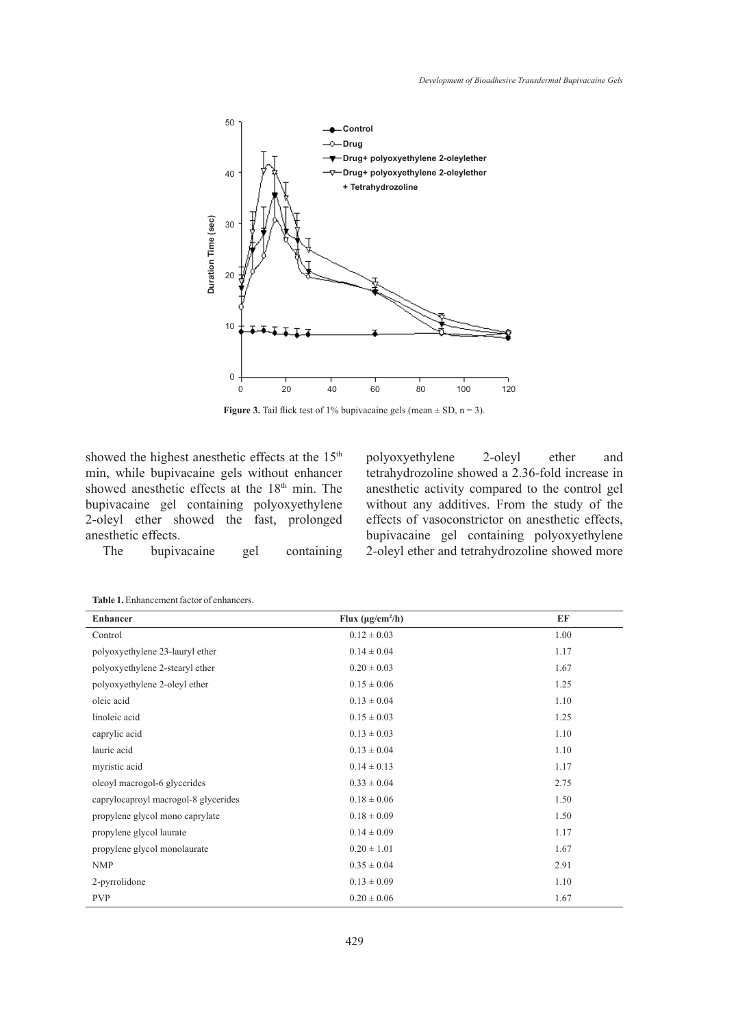

**Figure 3.** Tail flick test of 1% bupivacaine gels (mean  $\pm$  SD, n = 3).

showed the highest anesthetic effects at the 15<sup>th</sup> min, while bupivacaine gels without enhancer showed anesthetic effects at the 18<sup>th</sup> min. The bupivacaine gel containing polyoxyethylene 2-oleyl ether showed the fast, prolonged anesthetic effects.

polyoxyethylene 2-oleyl ether and tetrahydrozoline showed a 2.36-fold increase in anesthetic activity compared to the control gel without any additives. From the study of the effects of vasoconstrictor on anesthetic effects, bupivacaine gel containing polyoxyethylene 2-oleyl ether and tetrahydrozoline showed more

The bupivacaine gel containing

| <b>Enhancer</b>                      | Flux $(\mu g/cm^2/h)$ | EF   |
|--------------------------------------|-----------------------|------|
| Control                              | $0.12 \pm 0.03$       | 1.00 |
| polyoxyethylene 23-lauryl ether      | $0.14 \pm 0.04$       | 1.17 |
| polyoxyethylene 2-stearyl ether      | $0.20 \pm 0.03$       | 1.67 |
| polyoxyethylene 2-oleyl ether        | $0.15 \pm 0.06$       | 1.25 |
| oleic acid                           | $0.13 \pm 0.04$       | 1.10 |
| linoleic acid                        | $0.15 \pm 0.03$       | 1.25 |
| caprylic acid                        | $0.13 \pm 0.03$       | 1.10 |
| lauric acid                          | $0.13 \pm 0.04$       | 1.10 |
| myristic acid                        | $0.14 \pm 0.13$       | 1.17 |
| oleoyl macrogol-6 glycerides         | $0.33 \pm 0.04$       | 2.75 |
| caprylocaproyl macrogol-8 glycerides | $0.18 \pm 0.06$       | 1.50 |
| propylene glycol mono caprylate      | $0.18 \pm 0.09$       | 1.50 |
| propylene glycol laurate             | $0.14 \pm 0.09$       | 1.17 |
| propylene glycol monolaurate         | $0.20 \pm 1.01$       | 1.67 |
| <b>NMP</b>                           | $0.35 \pm 0.04$       | 2.91 |
| 2-pyrrolidone                        | $0.13 \pm 0.09$       | 1.10 |
| <b>PVP</b>                           | $0.20 \pm 0.06$       | 1.67 |
|                                      |                       |      |
|                                      |                       |      |

**Table 1.** Enhancement factor of enhancers.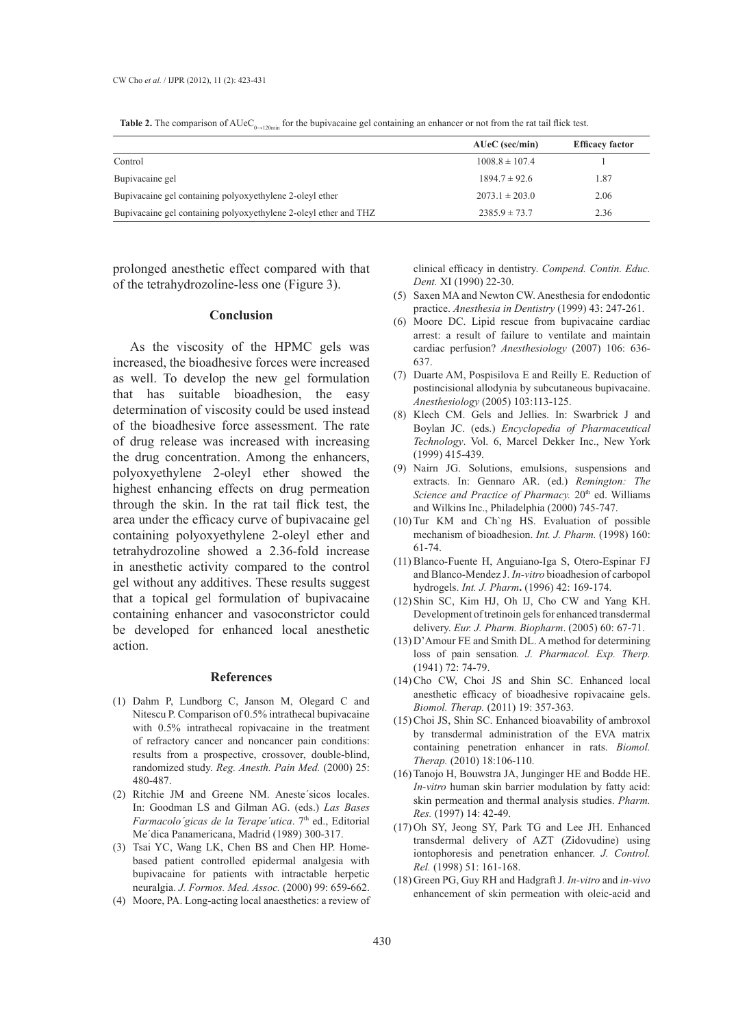|                                                                  | $AUC$ (sec/min)    | <b>Efficacy factor</b> |
|------------------------------------------------------------------|--------------------|------------------------|
| Control                                                          | $1008.8 \pm 107.4$ |                        |
| Bupivacaine gel                                                  | $1894.7 \pm 92.6$  | 1.87                   |
| Bupivacaine gel containing polyoxyethylene 2-oleyl ether         | $2073.1 \pm 203.0$ | 2.06                   |
| Bupivacaine gel containing polyoxyethylene 2-oleyl ether and THZ | $2385.9 \pm 73.7$  | 2.36                   |

**Table 2.** The comparison of  $AUC_{0\rightarrow120\text{min}}$  for the bupivacaine gel containing an enhancer or not from the rat tail flick test.

prolonged anesthetic effect compared with that of the tetrahydrozoline-less one (Figure 3).

#### **Conclusion**

As the viscosity of the HPMC gels was increased, the bioadhesive forces were increased as well. To develop the new gel formulation that has suitable bioadhesion, the easy determination of viscosity could be used instead of the bioadhesive force assessment. The rate of drug release was increased with increasing the drug concentration. Among the enhancers, polyoxyethylene 2-oleyl ether showed the highest enhancing effects on drug permeation through the skin. In the rat tail flick test, the area under the efficacy curve of bupivacaine gel containing polyoxyethylene 2-oleyl ether and tetrahydrozoline showed a 2.36-fold increase in anesthetic activity compared to the control gel without any additives. These results suggest that a topical gel formulation of bupivacaine containing enhancer and vasoconstrictor could be developed for enhanced local anesthetic action.

#### **References**

- Dahm P, Lundborg C, Janson M, Olegard C and (1) Nitescu P. Comparison of 0.5% intrathecal bupivacaine with 0.5% intrathecal ropivacaine in the treatment of refractory cancer and noncancer pain conditions: results from a prospective, crossover, double-blind, randomized study. *Reg. Anesth. Pain Med.* (2000) 25: 480-487.
- (2) Ritchie JM and Greene NM. Aneste'sicos locales. In: Goodman LS and Gilman AG. (eds.) *Las Bases Farmacolo'gicas de la Terape'utica.* 7<sup>th</sup> ed., Editorial Me´dica Panamericana, Madrid (1989) 300-317.
- Tsai YC, Wang LK, Chen BS and Chen HP. Home-(3) based patient controlled epidermal analgesia with bupivacaine for patients with intractable herpetic neuralgia. *J. Formos. Med. Assoc.* (2000) 99: 659-662.
- Moore, PA. Long-acting local anaesthetics: a review of (4)

clinical efficacy in dentistry. *Compend. Contin. Educ. Dent.* XI (1990) 22-30.

- (5) Saxen MA and Newton CW. Anesthesia for endodontic practice. *Anesthesia in Dentistry* (1999) 43: 247-261.
- Moore DC. Lipid rescue from bupivacaine cardiac (6) arrest: a result of failure to ventilate and maintain cardiac perfusion? *Anesthesiology* (2007) 106: 636- 637.
- $(7)$  Duarte AM, Pospisilova E and Reilly E. Reduction of postincisional allodynia by subcutaneous bupivacaine. *Anesthesiology* (2005) 103:113-125.
- Klech CM. Gels and Jellies. In: Swarbrick J and (8) Boylan JC. (eds.) *Encyclopedia of Pharmaceutical Technology*. Vol. 6, Marcel Dekker Inc., New York (1999) 415-439.
- (9) Nairn JG. Solutions, emulsions, suspensions and extracts. In: Gennaro AR. (ed.) *Remington: The*  Science and Practice of Pharmacy. 20<sup>th</sup> ed. Williams and Wilkins Inc., Philadelphia (2000) 745-747.
- $(10)$  Tur KM and Ch`ng HS. Evaluation of possible mechanism of bioadhesion. *Int. J. Pharm.* (1998) 160: 61-74.
- (11) Blanco-Fuente H, Anguiano-Iga S, Otero-Espinar FJ and Blanco-Mendez J. *In-vitro* bioadhesion of carbopol hydrogels. *Int. J. Pharm***.** (1996) 42: 169-174.
- (12) Shin SC, Kim HJ, Oh IJ, Cho CW and Yang KH. Development of tretinoin gels for enhanced transdermal delivery. *Eur. J. Pharm. Biopharm*. (2005) 60: 67-71.
- $(13)$  D'Amour FE and Smith DL. A method for determining loss of pain sensation*. J. Pharmacol. Exp. Therp.*  (1941) 72: 74-79.
- $(14)$  Cho CW, Choi JS and Shin SC. Enhanced local anesthetic efficacy of bioadhesive ropivacaine gels. *Biomol. Therap.* (2011) 19: 357-363.
- (15) Choi JS, Shin SC. Enhanced bioavability of ambroxol by transdermal administration of the EVA matrix containing penetration enhancer in rats. *Biomol. Therap.* (2010) 18:106-110.
- (16) Tanojo H, Bouwstra JA, Junginger HE and Bodde HE. *In-vitro* human skin barrier modulation by fatty acid: skin permeation and thermal analysis studies. *Pharm. Res.* (1997) 14: 42-49.
- (17) Oh SY, Jeong SY, Park TG and Lee JH. Enhanced transdermal delivery of AZT (Zidovudine) using iontophoresis and penetration enhancer. *J. Control. Rel.* (1998) 51: 161-168.
- Green PG, Guy RH and Hadgraft J. *In-vitro* and *in-vivo* (18)enhancement of skin permeation with oleic-acid and